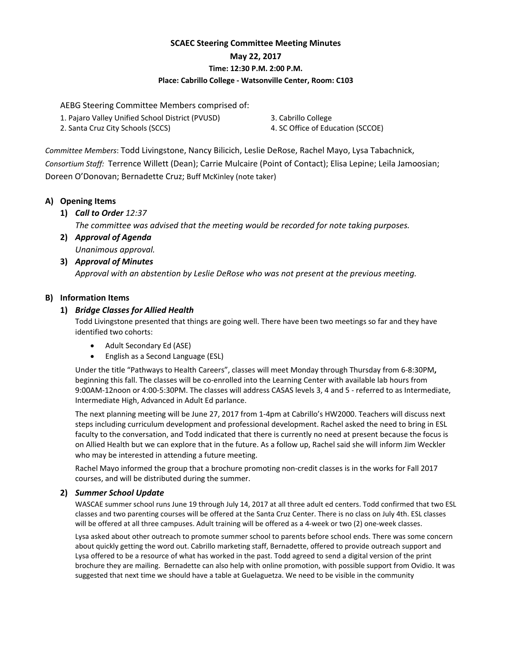# **SCAEC Steering Committee Meeting Minutes May 22, 2017 Time: 12:30 P.M. 2:00 P.M. Place: Cabrillo College ‐ Watsonville Center, Room: C103**

AEBG Steering Committee Members comprised of:

- 1. Pajaro Valley Unified School District (PVUSD)
- 2. Santa Cruz City Schools (SCCS)

3. Cabrillo College

4. SC Office of Education (SCCOE)

*Committee Members*: Todd Livingstone, Nancy Bilicich, Leslie DeRose, Rachel Mayo, Lysa Tabachnick, *Consortium Staff:* Terrence Willett (Dean); Carrie Mulcaire (Point of Contact); Elisa Lepine; Leila Jamoosian; Doreen O'Donovan; Bernadette Cruz; Buff McKinley (note taker)

# **A) Opening Items**

**1)** *Call to Order 12:37*

*The committee was advised that the meeting would be recorded for note taking purposes.*

**2)** *Approval of Agenda Unanimous approval.*

# **3)** *Approval of Minutes Approval with an abstention by Leslie DeRose who was not present at the previous meeting.*

# **B) Information Items**

# **1)** *Bridge Classes for Allied Health*

Todd Livingstone presented that things are going well. There have been two meetings so far and they have identified two cohorts:

- Adult Secondary Ed (ASE)
- English as a Second Language (ESL)

Under the title "Pathways to Health Careers", classes will meet Monday through Thursday from 6‐8:30PM**,** beginning this fall. The classes will be co-enrolled into the Learning Center with available lab hours from 9:00AM‐12noon or 4:00‐5:30PM. The classes will address CASAS levels 3, 4 and 5 ‐ referred to as Intermediate, Intermediate High, Advanced in Adult Ed parlance.

The next planning meeting will be June 27, 2017 from 1‐4pm at Cabrillo's HW2000. Teachers will discuss next steps including curriculum development and professional development. Rachel asked the need to bring in ESL faculty to the conversation, and Todd indicated that there is currently no need at present because the focus is on Allied Health but we can explore that in the future. As a follow up, Rachel said she will inform Jim Weckler who may be interested in attending a future meeting.

Rachel Mayo informed the group that a brochure promoting non‐credit classes is in the works for Fall 2017 courses, and will be distributed during the summer.

## **2)** *Summer School Update*

WASCAE summer school runs June 19 through July 14, 2017 at all three adult ed centers. Todd confirmed that two ESL classes and two parenting courses will be offered at the Santa Cruz Center. There is no class on July 4th. ESL classes will be offered at all three campuses. Adult training will be offered as a 4‐week or two (2) one‐week classes.

Lysa asked about other outreach to promote summer school to parents before school ends. There was some concern about quickly getting the word out. Cabrillo marketing staff, Bernadette, offered to provide outreach support and Lysa offered to be a resource of what has worked in the past. Todd agreed to send a digital version of the print brochure they are mailing. Bernadette can also help with online promotion, with possible support from Ovidio. It was suggested that next time we should have a table at Guelaguetza. We need to be visible in the community